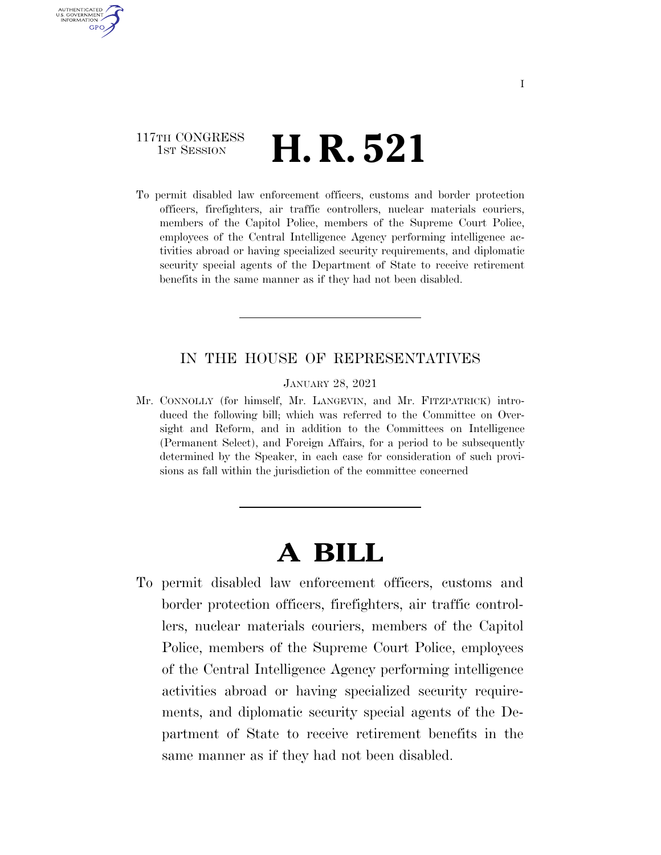## 117TH CONGRESS **H. R. 521 H. R. 521**

AUTHENTICATED U.S. GOVERNMENT **GPO** 

> To permit disabled law enforcement officers, customs and border protection officers, firefighters, air traffic controllers, nuclear materials couriers, members of the Capitol Police, members of the Supreme Court Police, employees of the Central Intelligence Agency performing intelligence activities abroad or having specialized security requirements, and diplomatic security special agents of the Department of State to receive retirement benefits in the same manner as if they had not been disabled.

### IN THE HOUSE OF REPRESENTATIVES

JANUARY 28, 2021

Mr. CONNOLLY (for himself, Mr. LANGEVIN, and Mr. FITZPATRICK) introduced the following bill; which was referred to the Committee on Oversight and Reform, and in addition to the Committees on Intelligence (Permanent Select), and Foreign Affairs, for a period to be subsequently determined by the Speaker, in each case for consideration of such provisions as fall within the jurisdiction of the committee concerned

# **A BILL**

To permit disabled law enforcement officers, customs and border protection officers, firefighters, air traffic controllers, nuclear materials couriers, members of the Capitol Police, members of the Supreme Court Police, employees of the Central Intelligence Agency performing intelligence activities abroad or having specialized security requirements, and diplomatic security special agents of the Department of State to receive retirement benefits in the same manner as if they had not been disabled.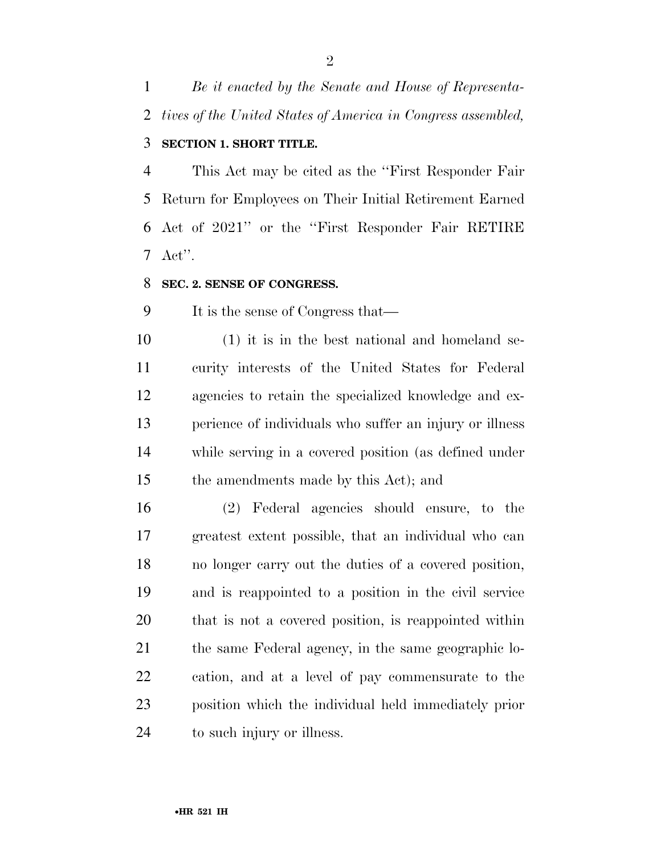*Be it enacted by the Senate and House of Representa-tives of the United States of America in Congress assembled,* 

### **SECTION 1. SHORT TITLE.**

 This Act may be cited as the ''First Responder Fair Return for Employees on Their Initial Retirement Earned Act of 2021'' or the ''First Responder Fair RETIRE Act''.

#### **SEC. 2. SENSE OF CONGRESS.**

It is the sense of Congress that—

 (1) it is in the best national and homeland se- curity interests of the United States for Federal agencies to retain the specialized knowledge and ex- perience of individuals who suffer an injury or illness while serving in a covered position (as defined under the amendments made by this Act); and

 (2) Federal agencies should ensure, to the greatest extent possible, that an individual who can no longer carry out the duties of a covered position, and is reappointed to a position in the civil service that is not a covered position, is reappointed within the same Federal agency, in the same geographic lo- cation, and at a level of pay commensurate to the position which the individual held immediately prior to such injury or illness.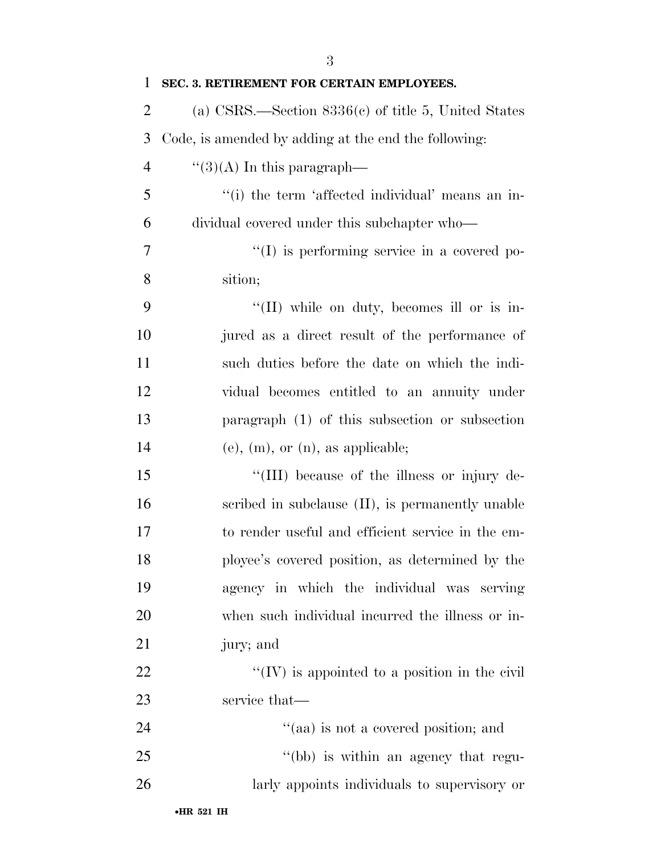| 1              | SEC. 3. RETIREMENT FOR CERTAIN EMPLOYEES.             |
|----------------|-------------------------------------------------------|
| $\overline{2}$ | (a) CSRS.—Section $8336(c)$ of title 5, United States |
| 3              | Code, is amended by adding at the end the following:  |
| $\overline{4}$ | $\lq(3)(A)$ In this paragraph—                        |
| 5              | "(i) the term 'affected individual' means an in-      |
| 6              | dividual covered under this subchapter who—           |
| 7              | $\lq\lq$ is performing service in a covered po-       |
| 8              | sition;                                               |
| 9              | "(II) while on duty, becomes ill or is in-            |
| 10             | jured as a direct result of the performance of        |
| 11             | such duties before the date on which the indi-        |
| 12             | vidual becomes entitled to an annuity under           |
| 13             | paragraph (1) of this subsection or subsection        |
| 14             | $(e)$ , $(m)$ , or $(n)$ , as applicable;             |
| 15             | "(III) because of the illness or injury de-           |
| 16             | scribed in subclause (II), is permanently unable      |
| 17             | to render useful and efficient service in the em-     |
| 18             | ployee's covered position, as determined by the       |
| 19             | agency in which the individual was serving            |
| 20             | when such individual incurred the illness or in-      |
| 21             | jury; and                                             |
| 22             | $\lq\lq$ (IV) is appointed to a position in the civil |
| 23             | service that—                                         |
| 24             | "(aa) is not a covered position; and                  |
| 25             | "(bb) is within an agency that regu-                  |
| 26             | larly appoints individuals to supervisory or          |
|                |                                                       |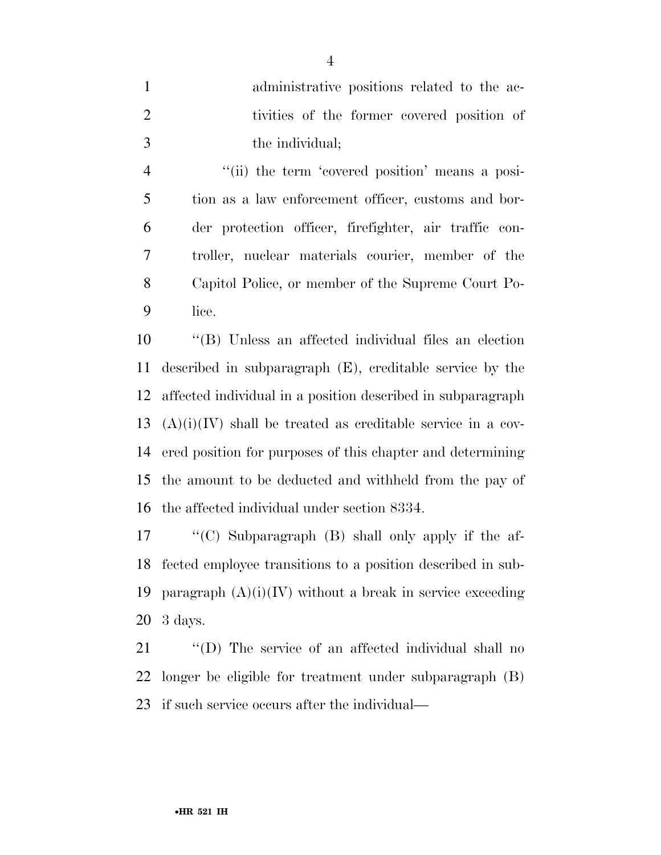| administrative positions related to the ac- |
|---------------------------------------------|
| tivities of the former covered position of  |
| the individual;                             |

4 "(ii) the term 'covered position' means a posi- tion as a law enforcement officer, customs and bor- der protection officer, firefighter, air traffic con- troller, nuclear materials courier, member of the Capitol Police, or member of the Supreme Court Po-lice.

 ''(B) Unless an affected individual files an election described in subparagraph (E), creditable service by the affected individual in a position described in subparagraph  $(A)(i)(IV)$  shall be treated as creditable service in a cov- ered position for purposes of this chapter and determining the amount to be deducted and withheld from the pay of the affected individual under section 8334.

 ''(C) Subparagraph (B) shall only apply if the af- fected employee transitions to a position described in sub-19 paragraph  $(A)(i)(IV)$  without a break in service exceeding 3 days.

 ''(D) The service of an affected individual shall no longer be eligible for treatment under subparagraph (B) if such service occurs after the individual—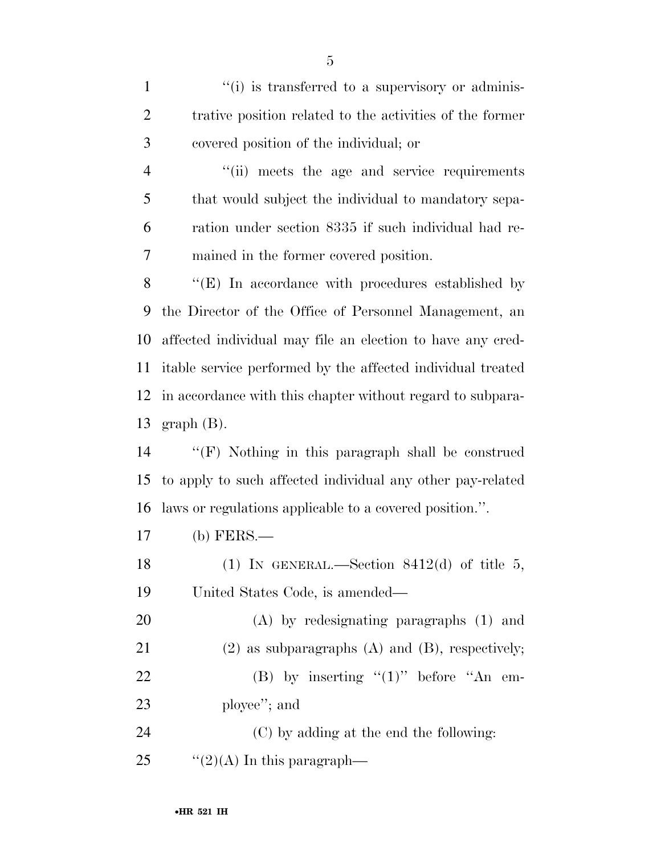1 ''(i) is transferred to a supervisory or adminis- trative position related to the activities of the former covered position of the individual; or ''(ii) meets the age and service requirements that would subject the individual to mandatory sepa- ration under section 8335 if such individual had re- mained in the former covered position. 8 "(E) In accordance with procedures established by the Director of the Office of Personnel Management, an affected individual may file an election to have any cred- itable service performed by the affected individual treated in accordance with this chapter without regard to subpara- graph (B). ''(F) Nothing in this paragraph shall be construed to apply to such affected individual any other pay-related laws or regulations applicable to a covered position.''. (b) FERS.— 18 (1) IN GENERAL.—Section  $8412(d)$  of title 5, United States Code, is amended— (A) by redesignating paragraphs (1) and (2) as subparagraphs (A) and (B), respectively; 22 (B) by inserting  $(1)$ " before  $A_n$  em- ployee''; and (C) by adding at the end the following:  $\frac{1}{2}(2)(A)$  In this paragraph—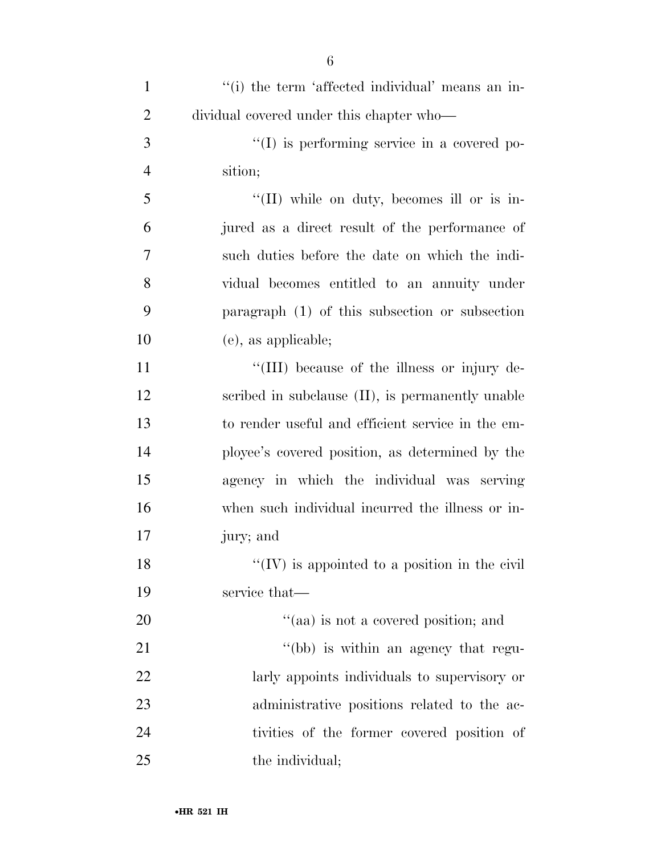| $\mathbf{1}$   | "(i) the term 'affected individual' means an in-  |
|----------------|---------------------------------------------------|
| $\overline{2}$ | dividual covered under this chapter who—          |
| 3              | $\lq\lq$ is performing service in a covered po-   |
| $\overline{4}$ | sition;                                           |
| 5              | "(II) while on duty, becomes ill or is in-        |
| 6              | jured as a direct result of the performance of    |
| 7              | such duties before the date on which the indi-    |
| 8              | vidual becomes entitled to an annuity under       |
| 9              | paragraph $(1)$ of this subsection or subsection  |
| 10             | (e), as applicable;                               |
| 11             | "(III) because of the illness or injury de-       |
| 12             | scribed in subclause (II), is permanently unable  |
| 13             | to render useful and efficient service in the em- |
| 14             | ployee's covered position, as determined by the   |
| 15             | agency in which the individual was serving        |
| 16             | when such individual incurred the illness or in-  |
| 17             | jury; and                                         |
| 18             | "(IV) is appointed to a position in the civil     |
| 19             | service that—                                     |
| 20             | "(aa) is not a covered position; and              |
| 21             | "(bb) is within an agency that regu-              |
| 22             | larly appoints individuals to supervisory or      |
| 23             | administrative positions related to the ac-       |
| 24             | tivities of the former covered position of        |
| 25             | the individual;                                   |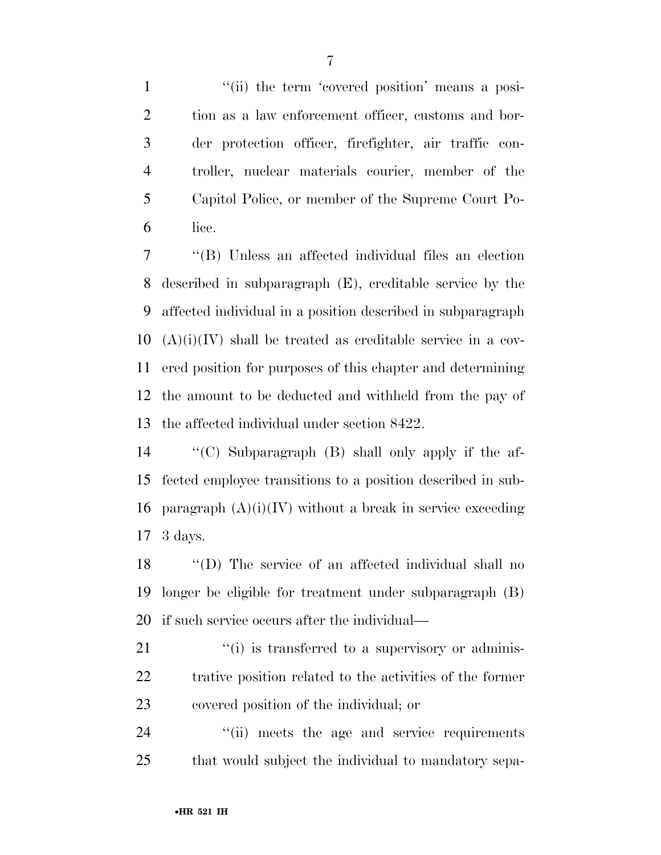1 ''(ii) the term 'covered position' means a posi- tion as a law enforcement officer, customs and bor- der protection officer, firefighter, air traffic con- troller, nuclear materials courier, member of the Capitol Police, or member of the Supreme Court Po-lice.

 ''(B) Unless an affected individual files an election described in subparagraph (E), creditable service by the affected individual in a position described in subparagraph (A)(i)(IV) shall be treated as creditable service in a cov- ered position for purposes of this chapter and determining the amount to be deducted and withheld from the pay of the affected individual under section 8422.

 ''(C) Subparagraph (B) shall only apply if the af- fected employee transitions to a position described in sub-16 paragraph  $(A)(i)(IV)$  without a break in service exceeding 3 days.

 ''(D) The service of an affected individual shall no longer be eligible for treatment under subparagraph (B) if such service occurs after the individual—

21  $\frac{1}{2}$  (i) is transferred to a supervisory or adminis- trative position related to the activities of the former covered position of the individual; or

24  $\frac{1}{2}$  (ii) meets the age and service requirements that would subject the individual to mandatory sepa-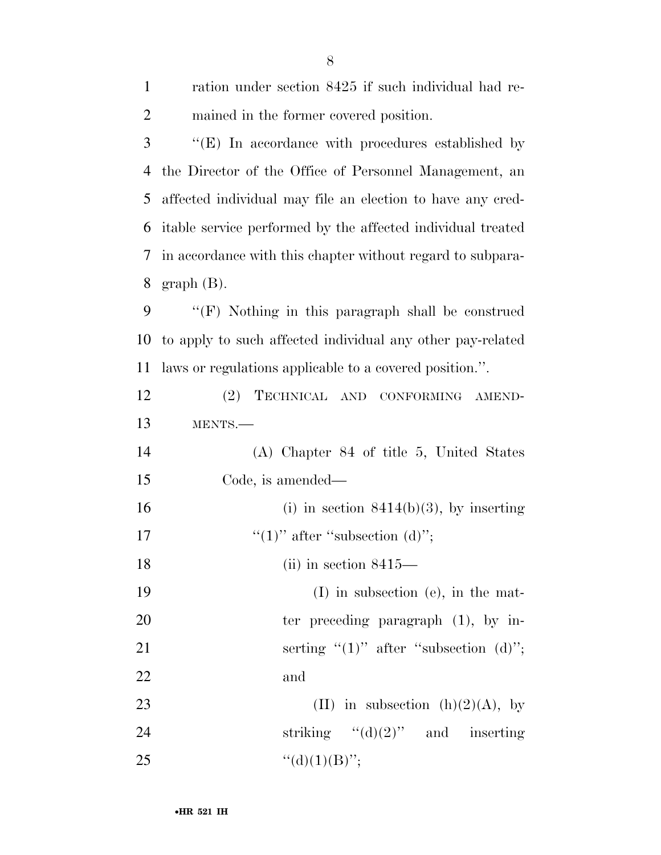| $\mathbf{1}$   | ration under section 8425 if such individual had re-        |
|----------------|-------------------------------------------------------------|
| $\overline{2}$ | mained in the former covered position.                      |
| 3              | $\lq\lq(E)$ In accordance with procedures established by    |
| $\overline{4}$ | the Director of the Office of Personnel Management, an      |
| 5              | affected individual may file an election to have any cred-  |
| 6              | itable service performed by the affected individual treated |
| 7              | in accordance with this chapter without regard to subpara-  |
| 8              | $graph(B)$ .                                                |
| 9              | "(F) Nothing in this paragraph shall be construed           |
| 10             | to apply to such affected individual any other pay-related  |
| 11             | laws or regulations applicable to a covered position.".     |
| 12             | (2) TECHNICAL AND CONFORMING AMEND-                         |
| 13             | MENTS.-                                                     |
| 14             | (A) Chapter 84 of title 5, United States                    |
| 15             | Code, is amended—                                           |
| 16             | (i) in section $8414(b)(3)$ , by inserting                  |
| 17             | "(1)" after "subsection (d)";                               |
| 18             | $(ii)$ in section 8415—                                     |
| 19             | $(I)$ in subsection (e), in the mat-                        |
| 20             | ter preceding paragraph $(1)$ , by in-                      |
| 21             | serting " $(1)$ " after "subsection $(d)$ ";                |
| 22             | and                                                         |
| 23             | (II) in subsection (h)(2)(A), by                            |
| 24             |                                                             |
| 25             | "(d)(1)(B)";                                                |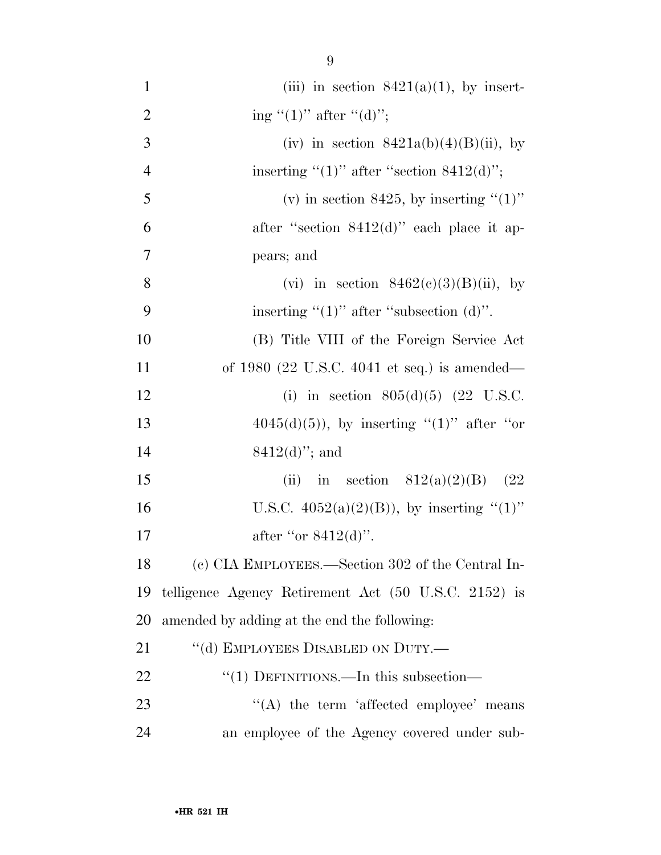| $\mathbf{1}$   | (iii) in section $8421(a)(1)$ , by insert-           |
|----------------|------------------------------------------------------|
| $\overline{2}$ | ing " $(1)$ " after " $(d)$ ";                       |
| 3              | (iv) in section $8421a(b)(4)(B)(ii)$ , by            |
| $\overline{4}$ | inserting " $(1)$ " after "section 8412 $(d)$ ";     |
| 5              | (v) in section 8425, by inserting " $(1)$ "          |
| 6              | after "section $8412(d)$ " each place it ap-         |
| 7              | pears; and                                           |
| 8              | (vi) in section $8462(c)(3)(B)(ii)$ , by             |
| 9              | inserting " $(1)$ " after "subsection $(d)$ ".       |
| 10             | (B) Title VIII of the Foreign Service Act            |
| 11             | of 1980 (22 U.S.C. 4041 et seq.) is amended—         |
| 12             | (i) in section $805(d)(5)$ (22 U.S.C.                |
| 13             | $4045(d)(5)$ , by inserting "(1)" after "or          |
| 14             | $8412(d)$ "; and                                     |
| 15             | in section $812(a)(2)(B)$ (22<br>(ii)                |
| 16             | U.S.C. $4052(a)(2)(B)$ , by inserting "(1)"          |
| 17             | after "or $8412(d)$ ".                               |
| 18             | (c) CIA EMPLOYEES.—Section 302 of the Central In-    |
| 19             | telligence Agency Retirement Act (50 U.S.C. 2152) is |
| 20             | amended by adding at the end the following:          |
| 21             | "(d) EMPLOYEES DISABLED ON DUTY.—                    |
| 22             | "(1) DEFINITIONS.—In this subsection—                |
| 23             | $\lq\lq$ the term 'affected employee' means          |
| 24             | an employee of the Agency covered under sub-         |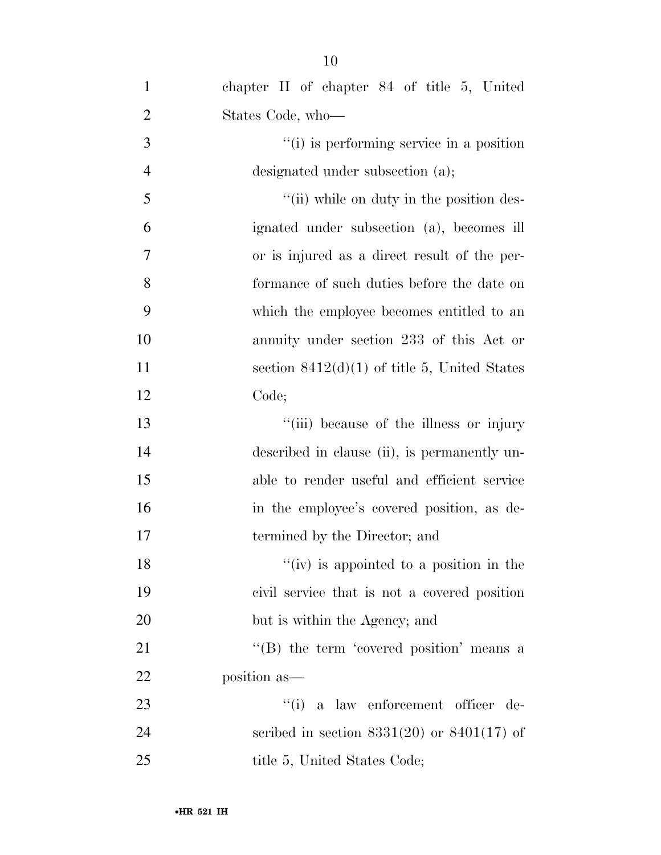| $\mathbf{1}$   | chapter II of chapter 84 of title 5, United     |
|----------------|-------------------------------------------------|
| $\overline{2}$ | States Code, who-                               |
| 3              | "(i) is performing service in a position        |
| $\overline{4}$ | designated under subsection (a);                |
| 5              | "(ii) while on duty in the position des-        |
| 6              | ignated under subsection (a), becomes ill       |
| 7              | or is injured as a direct result of the per-    |
| 8              | formance of such duties before the date on      |
| 9              | which the employee becomes entitled to an       |
| 10             | annuity under section 233 of this Act or        |
| 11             | section $8412(d)(1)$ of title 5, United States  |
| 12             | Code;                                           |
| 13             | "(iii) because of the illness or injury         |
| 14             | described in clause (ii), is permanently un-    |
| 15             | able to render useful and efficient service     |
| 16             | in the employee's covered position, as de-      |
| 17             | termined by the Director; and                   |
| 18             | $\lq\lq$ (iv) is appointed to a position in the |
| 19             | civil service that is not a covered position    |
| 20             | but is within the Agency; and                   |
| 21             | "(B) the term 'covered position' means a        |
| 22             | position as-                                    |
| 23             | "(i) a law enforcement officer de-              |
| 24             | scribed in section $8331(20)$ or $8401(17)$ of  |
| 25             | title 5, United States Code;                    |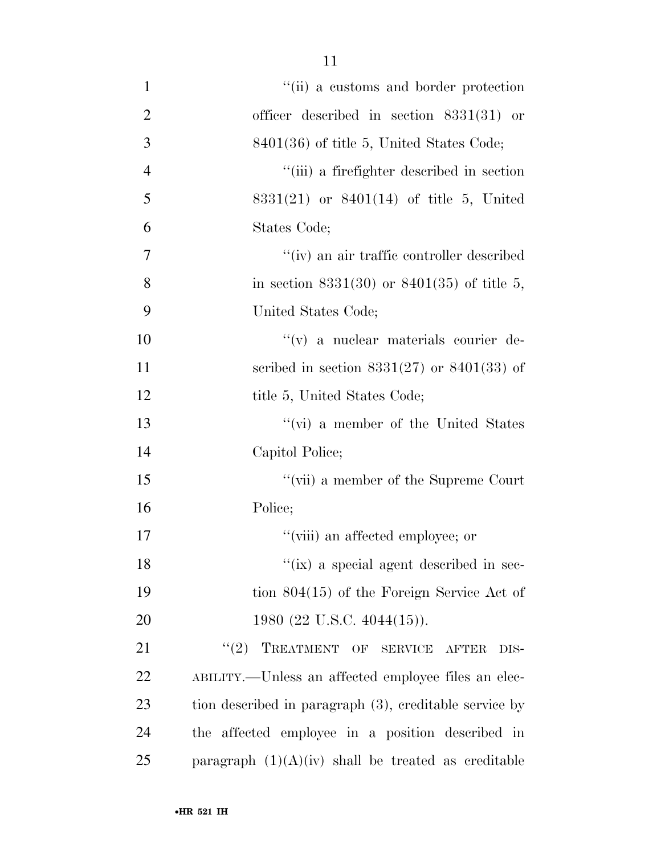| $\mathbf{1}$   | "(ii) a customs and border protection                  |
|----------------|--------------------------------------------------------|
| $\overline{2}$ | officer described in section $8331(31)$ or             |
| 3              | $8401(36)$ of title 5, United States Code;             |
| $\overline{4}$ | "(iii) a firefighter described in section              |
| 5              | $8331(21)$ or $8401(14)$ of title 5, United            |
| 6              | States Code;                                           |
| $\overline{7}$ | "(iv) an air traffic controller described              |
| 8              | in section 8331(30) or 8401(35) of title 5,            |
| 9              | United States Code;                                    |
| 10             | "(v) a nuclear materials courier de-                   |
| 11             | scribed in section $8331(27)$ or $8401(33)$ of         |
| 12             | title 5, United States Code;                           |
| 13             | "(vi) a member of the United States                    |
| 14             | Capitol Police;                                        |
| 15             | "(vii) a member of the Supreme Court                   |
| 16             | Police;                                                |
| 17             | "(viii) an affected employee; or                       |
| 18             | $\lq\lq$ (ix) a special agent described in sec-        |
| 19             | tion $804(15)$ of the Foreign Service Act of           |
| 20             | 1980 (22 U.S.C. 4044(15)).                             |
| 21             | TREATMENT OF SERVICE AFTER<br>(2)<br>DIS-              |
| 22             | ABILITY.—Unless an affected employee files an elec-    |
| 23             | tion described in paragraph (3), creditable service by |
| 24             | the affected employee in a position described in       |
| 25             | paragraph $(1)(A)(iv)$ shall be treated as creditable  |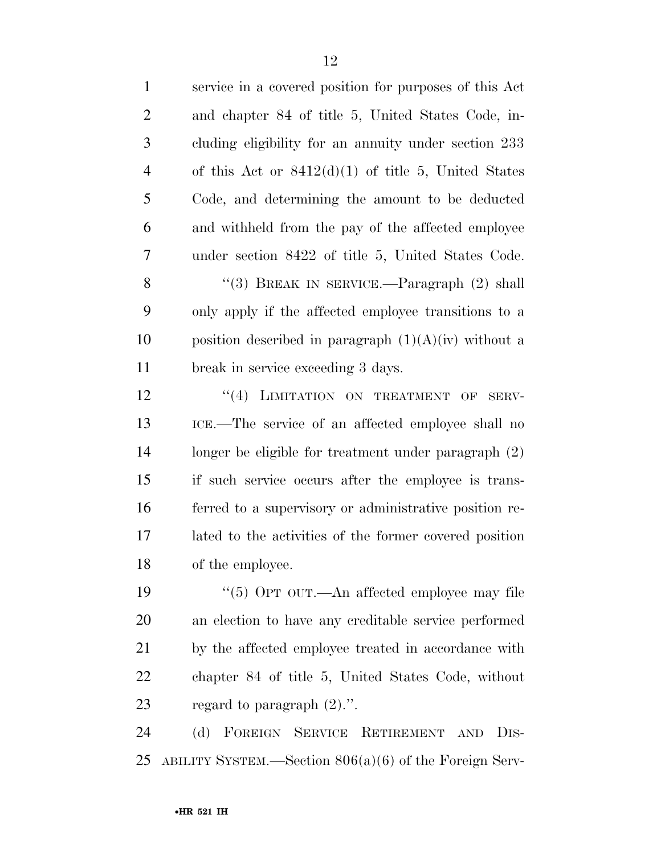| $\mathbf{1}$   | service in a covered position for purposes of this Act     |
|----------------|------------------------------------------------------------|
| $\overline{2}$ | and chapter 84 of title 5, United States Code, in-         |
| 3              | cluding eligibility for an annuity under section 233       |
| $\overline{4}$ | of this Act or $8412(d)(1)$ of title 5, United States      |
| 5              | Code, and determining the amount to be deducted            |
| 6              | and withheld from the pay of the affected employee         |
| 7              | under section 8422 of title 5, United States Code.         |
| 8              | "(3) BREAK IN SERVICE.—Paragraph $(2)$ shall               |
| 9              | only apply if the affected employee transitions to a       |
| 10             | position described in paragraph $(1)(A)(iv)$ without a     |
| 11             | break in service exceeding 3 days.                         |
| 12             | "(4) LIMITATION ON TREATMENT OF<br>SERV-                   |
| 13             | ICE.—The service of an affected employee shall no          |
| 14             | longer be eligible for treatment under paragraph $(2)$     |
| 15             | if such service occurs after the employee is trans-        |
| 16             | ferred to a supervisory or administrative position re-     |
| 17             | lated to the activities of the former covered position     |
| 18             | of the employee.                                           |
| 19             | "(5) OPT OUT.—An affected employee may file                |
| 20             | an election to have any creditable service performed       |
| 21             | by the affected employee treated in accordance with        |
| 22             | chapter 84 of title 5, United States Code, without         |
| 23             | regard to paragraph $(2)$ .".                              |
| 24             | FOREIGN SERVICE RETIREMENT AND<br>(d)<br>D <sub>IS</sub> - |
| 25             | ABILITY SYSTEM.—Section $806(a)(6)$ of the Foreign Serv-   |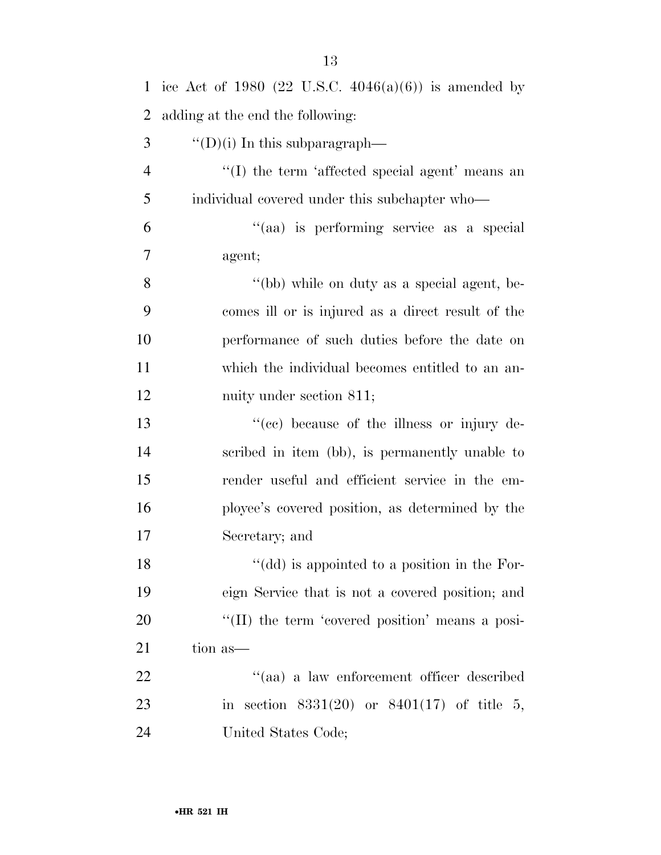| $\mathbf{1}$   | ice Act of 1980 (22 U.S.C. $4046(a)(6)$ ) is amended by |
|----------------|---------------------------------------------------------|
| $\overline{2}$ | adding at the end the following:                        |
| 3              | $\lq\lq$ (i) In this subparagraph—                      |
| $\overline{4}$ | "(I) the term 'affected special agent' means an         |
| 5              | individual covered under this subchapter who—           |
| 6              | "(aa) is performing service as a special                |
| 7              | agent;                                                  |
| 8              | "(bb) while on duty as a special agent, be-             |
| 9              | comes ill or is injured as a direct result of the       |
| 10             | performance of such duties before the date on           |
| 11             | which the individual becomes entitled to an an-         |
| 12             | nuity under section 811;                                |
| 13             | "(cc) because of the illness or injury de-              |
| 14             | scribed in item (bb), is permanently unable to          |
| 15             | render useful and efficient service in the em-          |
| 16             | ployee's covered position, as determined by the         |
| 17             | Secretary; and                                          |
| 18             | "(dd) is appointed to a position in the For-            |
| 19             | eign Service that is not a covered position; and        |
| 20             | "(II) the term 'covered position' means a posi-         |
| 21             | tion as-                                                |
| 22             | "(aa) a law enforcement officer described               |
| 23             | in section $8331(20)$ or $8401(17)$ of title 5,         |
| 24             | United States Code;                                     |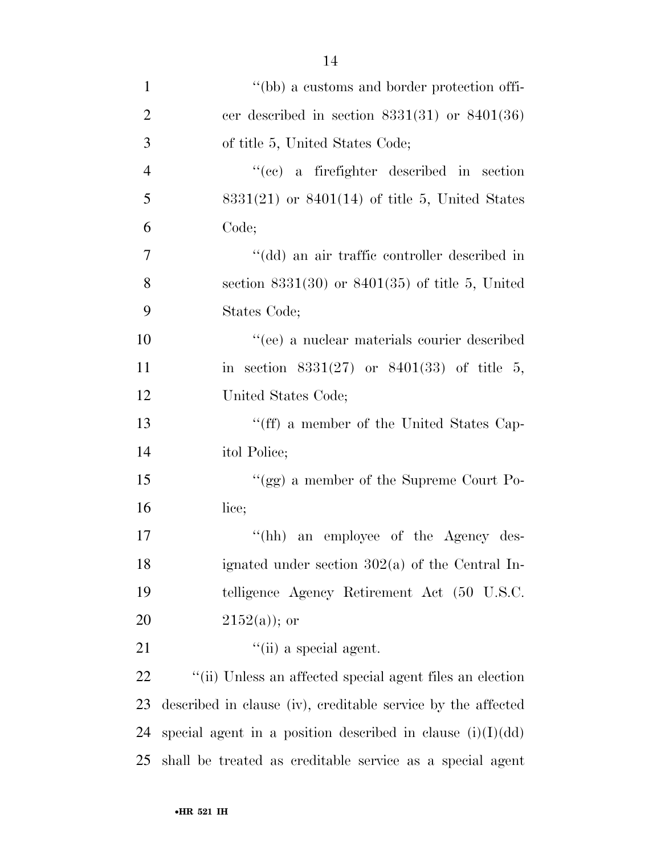| $\mathbf{1}$   | "(bb) a customs and border protection offi-                  |
|----------------|--------------------------------------------------------------|
| $\overline{2}$ | cer described in section $8331(31)$ or $8401(36)$            |
| $\mathfrak{Z}$ | of title 5, United States Code;                              |
| $\overline{4}$ | "(cc) a firefighter described in section                     |
| 5              | $8331(21)$ or $8401(14)$ of title 5, United States           |
| 6              | Code;                                                        |
| 7              | "(dd) an air traffic controller described in                 |
| 8              | section $8331(30)$ or $8401(35)$ of title 5, United          |
| 9              | States Code;                                                 |
| 10             | "(ee) a nuclear materials courier described                  |
| 11             | in section $8331(27)$ or $8401(33)$ of title 5,              |
| 12             | United States Code;                                          |
| 13             | "(ff) a member of the United States Cap-                     |
| 14             | itol Police;                                                 |
| 15             | "(gg) a member of the Supreme Court Po-                      |
| 16             | lice;                                                        |
| 17             | $\lq\lq(hh)$<br>an employee of the Agency des-               |
| 18             | ignated under section $302(a)$ of the Central In-            |
| 19             | telligence Agency Retirement Act (50 U.S.C.                  |
| 20             | $2152(a)$ ; or                                               |
| 21             | $\lq\lq$ (ii) a special agent.                               |
| 22             | "(ii) Unless an affected special agent files an election     |
| 23             | described in clause (iv), creditable service by the affected |
| 24             | special agent in a position described in clause $(i)(I)(dd)$ |
| 25             | shall be treated as creditable service as a special agent    |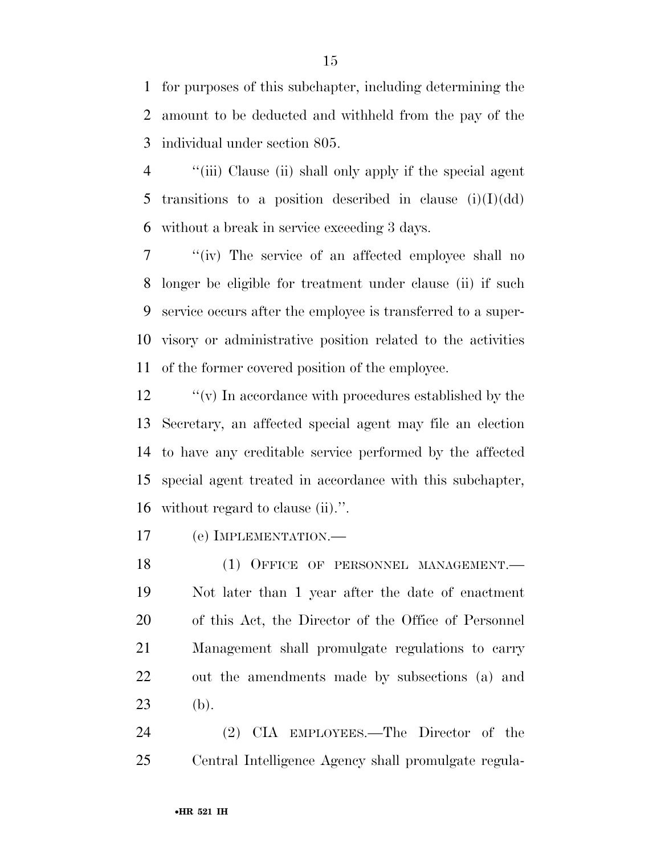for purposes of this subchapter, including determining the amount to be deducted and withheld from the pay of the individual under section 805.

 ''(iii) Clause (ii) shall only apply if the special agent 5 transitions to a position described in clause  $(i)(I)(dd)$ without a break in service exceeding 3 days.

 ''(iv) The service of an affected employee shall no longer be eligible for treatment under clause (ii) if such service occurs after the employee is transferred to a super- visory or administrative position related to the activities of the former covered position of the employee.

 ''(v) In accordance with procedures established by the Secretary, an affected special agent may file an election to have any creditable service performed by the affected special agent treated in accordance with this subchapter, without regard to clause (ii).''.

(e) IMPLEMENTATION.—

18 (1) OFFICE OF PERSONNEL MANAGEMENT. Not later than 1 year after the date of enactment of this Act, the Director of the Office of Personnel Management shall promulgate regulations to carry out the amendments made by subsections (a) and (b).

 (2) CIA EMPLOYEES.—The Director of the Central Intelligence Agency shall promulgate regula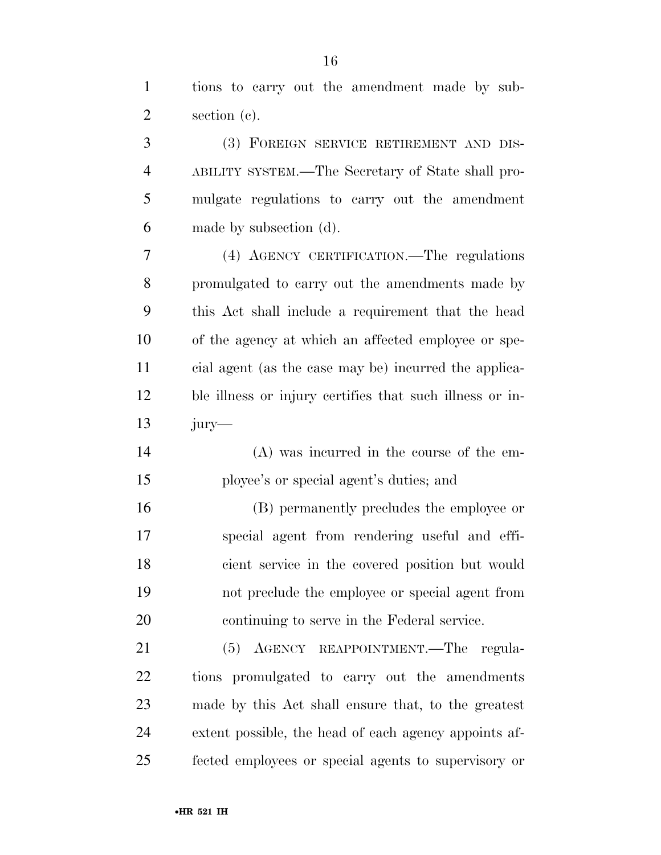tions to carry out the amendment made by sub-section (c).

 (3) FOREIGN SERVICE RETIREMENT AND DIS- ABILITY SYSTEM.—The Secretary of State shall pro- mulgate regulations to carry out the amendment made by subsection (d).

 (4) AGENCY CERTIFICATION.—The regulations promulgated to carry out the amendments made by this Act shall include a requirement that the head of the agency at which an affected employee or spe- cial agent (as the case may be) incurred the applica- ble illness or injury certifies that such illness or in-jury—

- (A) was incurred in the course of the em-ployee's or special agent's duties; and
- (B) permanently precludes the employee or special agent from rendering useful and effi- cient service in the covered position but would not preclude the employee or special agent from continuing to serve in the Federal service.

 (5) AGENCY REAPPOINTMENT.—The regula- tions promulgated to carry out the amendments made by this Act shall ensure that, to the greatest extent possible, the head of each agency appoints af-fected employees or special agents to supervisory or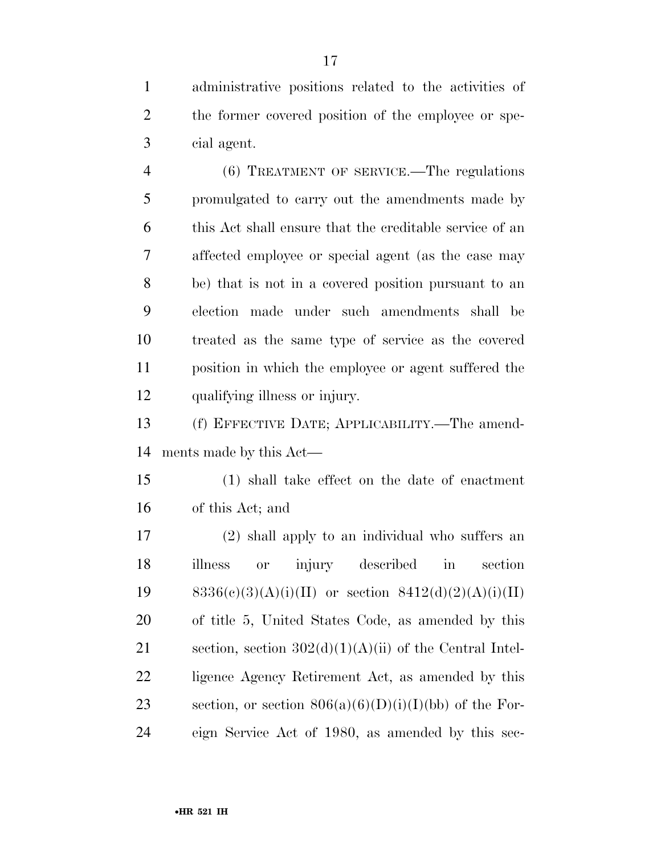administrative positions related to the activities of the former covered position of the employee or spe-cial agent.

 (6) TREATMENT OF SERVICE.—The regulations promulgated to carry out the amendments made by this Act shall ensure that the creditable service of an affected employee or special agent (as the case may be) that is not in a covered position pursuant to an election made under such amendments shall be treated as the same type of service as the covered position in which the employee or agent suffered the qualifying illness or injury.

 (f) EFFECTIVE DATE; APPLICABILITY.—The amend-ments made by this Act—

 (1) shall take effect on the date of enactment of this Act; and

 (2) shall apply to an individual who suffers an illness or injury described in section 19 8336(c)(3)(A)(i)(II) or section  $8412(d)(2)(A)(i)(II)$  of title 5, United States Code, as amended by this 21 section, section  $302(d)(1)(A)(ii)$  of the Central Intel- ligence Agency Retirement Act, as amended by this 23 section, or section  $806(a)(6)(D)(i)(I)(bb)$  of the For-eign Service Act of 1980, as amended by this sec-